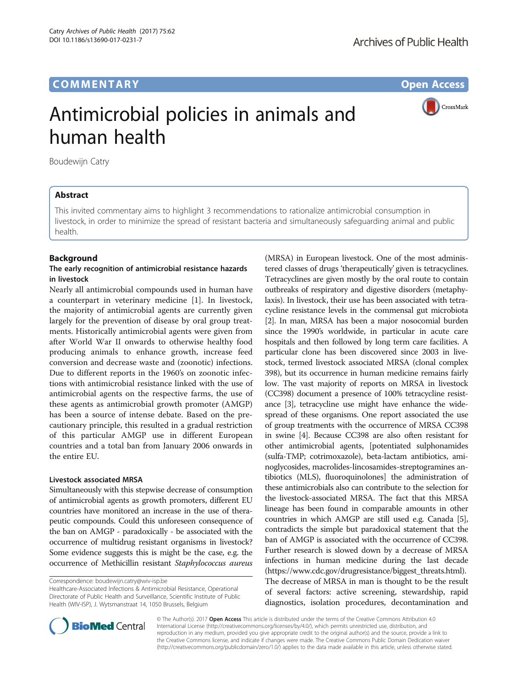# **COMMENTARY COMMENTARY Open Access**

CrossMark

# Antimicrobial policies in animals and human health

Boudewijn Catry

## Abstract

This invited commentary aims to highlight 3 recommendations to rationalize antimicrobial consumption in livestock, in order to minimize the spread of resistant bacteria and simultaneously safeguarding animal and public health.

## Background

## The early recognition of antimicrobial resistance hazards in livestock

Nearly all antimicrobial compounds used in human have a counterpart in veterinary medicine [[1](#page-3-0)]. In livestock, the majority of antimicrobial agents are currently given largely for the prevention of disease by oral group treatments. Historically antimicrobial agents were given from after World War II onwards to otherwise healthy food producing animals to enhance growth, increase feed conversion and decrease waste and (zoonotic) infections. Due to different reports in the 1960's on zoonotic infections with antimicrobial resistance linked with the use of antimicrobial agents on the respective farms, the use of these agents as antimicrobial growth promoter (AMGP) has been a source of intense debate. Based on the precautionary principle, this resulted in a gradual restriction of this particular AMGP use in different European countries and a total ban from January 2006 onwards in the entire EU.

## Livestock associated MRSA

Simultaneously with this stepwise decrease of consumption of antimicrobial agents as growth promoters, different EU countries have monitored an increase in the use of therapeutic compounds. Could this unforeseen consequence of the ban on AMGP - paradoxically - be associated with the occurrence of multidrug resistant organisms in livestock? Some evidence suggests this is might be the case, e.g. the occurrence of Methicillin resistant Staphylococcus aureus

Healthcare-Associated Infections & Antimicrobial Resistance, Operational Directorate of Public Health and Surveillance, Scientific Institute of Public Health (WIV-ISP), J. Wytsmanstraat 14, 1050 Brussels, Belgium

(MRSA) in European livestock. One of the most administered classes of drugs 'therapeutically' given is tetracyclines. Tetracyclines are given mostly by the oral route to contain outbreaks of respiratory and digestive disorders (metaphylaxis). In livestock, their use has been associated with tetracycline resistance levels in the commensal gut microbiota [[2](#page-3-0)]. In man, MRSA has been a major nosocomial burden since the 1990's worldwide, in particular in acute care hospitals and then followed by long term care facilities. A particular clone has been discovered since 2003 in livestock, termed livestock associated MRSA (clonal complex 398), but its occurrence in human medicine remains fairly low. The vast majority of reports on MRSA in livestock (CC398) document a presence of 100% tetracycline resistance [\[3](#page-3-0)], tetracycline use might have enhance the widespread of these organisms. One report associated the use of group treatments with the occurrence of MRSA CC398 in swine [[4](#page-3-0)]. Because CC398 are also often resistant for other antimicrobial agents, [potentiated sulphonamides (sulfa-TMP; cotrimoxazole), beta-lactam antibiotics, aminoglycosides, macrolides-lincosamides-streptogramines antibiotics (MLS), fluoroquinolones] the administration of these antimicrobials also can contribute to the selection for the livestock-associated MRSA. The fact that this MRSA lineage has been found in comparable amounts in other countries in which AMGP are still used e.g. Canada [[5](#page-3-0)], contradicts the simple but paradoxical statement that the ban of AMGP is associated with the occurrence of CC398. Further research is slowed down by a decrease of MRSA infections in human medicine during the last decade ([https://www.cdc.gov/drugresistance/biggest\\_threats.html](https://www.cdc.gov/drugresistance/biggest_threats.html)). The decrease of MRSA in man is thought to be the result of several factors: active screening, stewardship, rapid diagnostics, isolation procedures, decontamination and



© The Author(s). 2017 Open Access This article is distributed under the terms of the Creative Commons Attribution 4.0 International License [\(http://creativecommons.org/licenses/by/4.0/](http://creativecommons.org/licenses/by/4.0/)), which permits unrestricted use, distribution, and reproduction in any medium, provided you give appropriate credit to the original author(s) and the source, provide a link to the Creative Commons license, and indicate if changes were made. The Creative Commons Public Domain Dedication waiver [\(http://creativecommons.org/publicdomain/zero/1.0/](http://creativecommons.org/publicdomain/zero/1.0/)) applies to the data made available in this article, unless otherwise stated.

Correspondence: [boudewijn.catry@wiv-isp.be](mailto:boudewijn.catry@wiv-isp.be)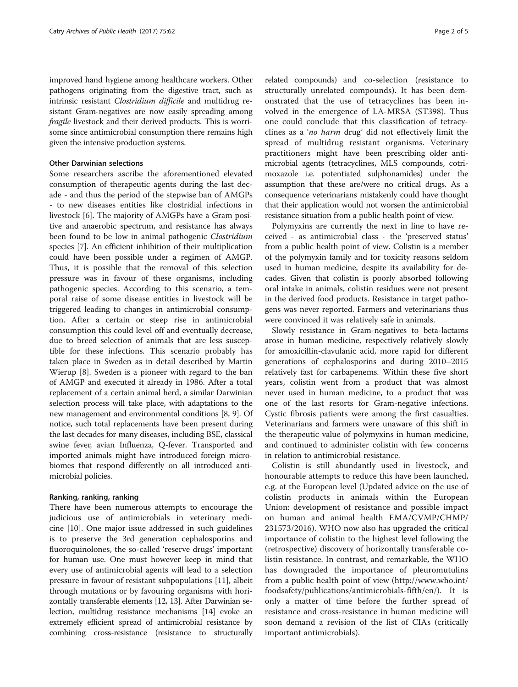improved hand hygiene among healthcare workers. Other pathogens originating from the digestive tract, such as intrinsic resistant Clostridium difficile and multidrug resistant Gram-negatives are now easily spreading among fragile livestock and their derived products. This is worrisome since antimicrobial consumption there remains high given the intensive production systems.

#### Other Darwinian selections

Some researchers ascribe the aforementioned elevated consumption of therapeutic agents during the last decade - and thus the period of the stepwise ban of AMGPs - to new diseases entities like clostridial infections in livestock [\[6](#page-3-0)]. The majority of AMGPs have a Gram positive and anaerobic spectrum, and resistance has always been found to be low in animal pathogenic Clostridium species [[7\]](#page-4-0). An efficient inhibition of their multiplication could have been possible under a regimen of AMGP. Thus, it is possible that the removal of this selection pressure was in favour of these organisms, including pathogenic species. According to this scenario, a temporal raise of some disease entities in livestock will be triggered leading to changes in antimicrobial consumption. After a certain or steep rise in antimicrobial consumption this could level off and eventually decrease, due to breed selection of animals that are less susceptible for these infections. This scenario probably has taken place in Sweden as in detail described by Martin Wierup [[8](#page-4-0)]. Sweden is a pioneer with regard to the ban of AMGP and executed it already in 1986. After a total replacement of a certain animal herd, a similar Darwinian selection process will take place, with adaptations to the new management and environmental conditions [\[8](#page-4-0), [9](#page-4-0)]. Of notice, such total replacements have been present during the last decades for many diseases, including BSE, classical swine fever, avian Influenza, Q-fever. Transported and imported animals might have introduced foreign microbiomes that respond differently on all introduced antimicrobial policies.

#### Ranking, ranking, ranking

There have been numerous attempts to encourage the judicious use of antimicrobials in veterinary medicine [\[10](#page-4-0)]. One major issue addressed in such guidelines is to preserve the 3rd generation cephalosporins and fluoroquinolones, the so-called 'reserve drugs' important for human use. One must however keep in mind that every use of antimicrobial agents will lead to a selection pressure in favour of resistant subpopulations [\[11](#page-4-0)], albeit through mutations or by favouring organisms with horizontally transferable elements [\[12](#page-4-0), [13\]](#page-4-0). After Darwinian selection, multidrug resistance mechanisms [\[14\]](#page-4-0) evoke an extremely efficient spread of antimicrobial resistance by combining cross-resistance (resistance to structurally

related compounds) and co-selection (resistance to structurally unrelated compounds). It has been demonstrated that the use of tetracyclines has been involved in the emergence of LA-MRSA (ST398). Thus one could conclude that this classification of tetracyclines as a 'no harm drug' did not effectively limit the spread of multidrug resistant organisms. Veterinary practitioners might have been prescribing older antimicrobial agents (tetracyclines, MLS compounds, cotrimoxazole i.e. potentiated sulphonamides) under the assumption that these are/were no critical drugs. As a consequence veterinarians mistakenly could have thought that their application would not worsen the antimicrobial resistance situation from a public health point of view.

Polymyxins are currently the next in line to have received - as antimicrobial class - the 'preserved status' from a public health point of view. Colistin is a member of the polymyxin family and for toxicity reasons seldom used in human medicine, despite its availability for decades. Given that colistin is poorly absorbed following oral intake in animals, colistin residues were not present in the derived food products. Resistance in target pathogens was never reported. Farmers and veterinarians thus were convinced it was relatively safe in animals.

Slowly resistance in Gram-negatives to beta-lactams arose in human medicine, respectively relatively slowly for amoxicillin-clavulanic acid, more rapid for different generations of cephalosporins and during 2010–2015 relatively fast for carbapenems. Within these five short years, colistin went from a product that was almost never used in human medicine, to a product that was one of the last resorts for Gram-negative infections. Cystic fibrosis patients were among the first casualties. Veterinarians and farmers were unaware of this shift in the therapeutic value of polymyxins in human medicine, and continued to administer colistin with few concerns in relation to antimicrobial resistance.

Colistin is still abundantly used in livestock, and honourable attempts to reduce this have been launched, e.g. at the European level (Updated advice on the use of colistin products in animals within the European Union: development of resistance and possible impact on human and animal health EMA/CVMP/CHMP/ 231573/2016). WHO now also has upgraded the critical importance of colistin to the highest level following the (retrospective) discovery of horizontally transferable colistin resistance. In contrast, and remarkable, the WHO has downgraded the importance of pleuromutulins from a public health point of view ([http://www.who.int/](http://www.who.int/foodsafety/publications/antimicrobials-fifth/en/) [foodsafety/publications/antimicrobials-fifth/en/](http://www.who.int/foodsafety/publications/antimicrobials-fifth/en/)). It is only a matter of time before the further spread of resistance and cross-resistance in human medicine will soon demand a revision of the list of CIAs (critically important antimicrobials).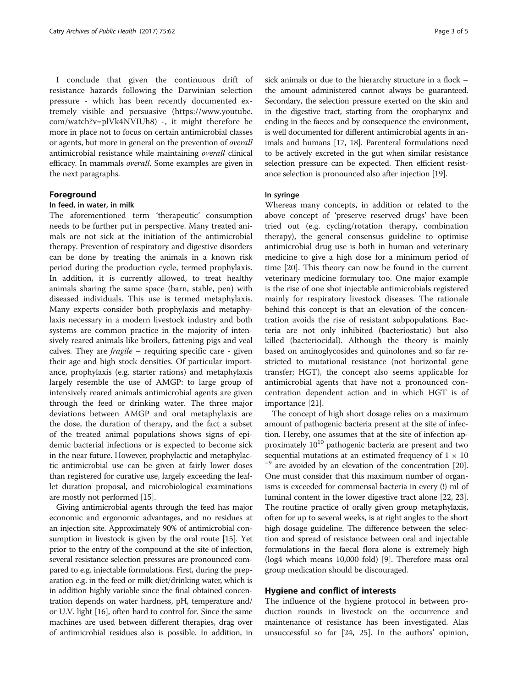I conclude that given the continuous drift of resistance hazards following the Darwinian selection pressure - which has been recently documented extremely visible and persuasive ([https://www.youtube.](https://www.youtube.com/watch?v=plVk4NVIUh8) [com/watch?v=plVk4NVIUh8\)](https://www.youtube.com/watch?v=plVk4NVIUh8) -, it might therefore be more in place not to focus on certain antimicrobial classes or agents, but more in general on the prevention of overall antimicrobial resistance while maintaining overall clinical efficacy. In mammals overall. Some examples are given in the next paragraphs.

## Foreground

#### In feed, in water, in milk

The aforementioned term 'therapeutic' consumption needs to be further put in perspective. Many treated animals are not sick at the initiation of the antimicrobial therapy. Prevention of respiratory and digestive disorders can be done by treating the animals in a known risk period during the production cycle, termed prophylaxis. In addition, it is currently allowed, to treat healthy animals sharing the same space (barn, stable, pen) with diseased individuals. This use is termed metaphylaxis. Many experts consider both prophylaxis and metaphylaxis necessary in a modern livestock industry and both systems are common practice in the majority of intensively reared animals like broilers, fattening pigs and veal calves. They are  $fragile$  – requiring specific care - given their age and high stock densities. Of particular importance, prophylaxis (e.g. starter rations) and metaphylaxis largely resemble the use of AMGP: to large group of intensively reared animals antimicrobial agents are given through the feed or drinking water. The three major deviations between AMGP and oral metaphylaxis are the dose, the duration of therapy, and the fact a subset of the treated animal populations shows signs of epidemic bacterial infections or is expected to become sick in the near future. However, prophylactic and metaphylactic antimicrobial use can be given at fairly lower doses than registered for curative use, largely exceeding the leaflet duration proposal, and microbiological examinations are mostly not performed [[15](#page-4-0)].

Giving antimicrobial agents through the feed has major economic and ergonomic advantages, and no residues at an injection site. Approximately 90% of antimicrobial consumption in livestock is given by the oral route [[15](#page-4-0)]. Yet prior to the entry of the compound at the site of infection, several resistance selection pressures are pronounced compared to e.g. injectable formulations. First, during the preparation e.g. in the feed or milk diet/drinking water, which is in addition highly variable since the final obtained concentration depends on water hardness, pH, temperature and/ or U.V. light [[16](#page-4-0)], often hard to control for. Since the same machines are used between different therapies, drag over of antimicrobial residues also is possible. In addition, in sick animals or due to the hierarchy structure in a flock – the amount administered cannot always be guaranteed. Secondary, the selection pressure exerted on the skin and in the digestive tract, starting from the oropharynx and ending in the faeces and by consequence the environment, is well documented for different antimicrobial agents in animals and humans [[17](#page-4-0), [18\]](#page-4-0). Parenteral formulations need to be actively excreted in the gut when similar resistance selection pressure can be expected. Then efficient resistance selection is pronounced also after injection [\[19](#page-4-0)].

## In syringe

Whereas many concepts, in addition or related to the above concept of 'preserve reserved drugs' have been tried out (e.g. cycling/rotation therapy, combination therapy), the general consensus guideline to optimise antimicrobial drug use is both in human and veterinary medicine to give a high dose for a minimum period of time [[20\]](#page-4-0). This theory can now be found in the current veterinary medicine formulary too. One major example is the rise of one shot injectable antimicrobials registered mainly for respiratory livestock diseases. The rationale behind this concept is that an elevation of the concentration avoids the rise of resistant subpopulations. Bacteria are not only inhibited (bacteriostatic) but also killed (bacteriocidal). Although the theory is mainly based on aminoglycosides and quinolones and so far restricted to mutational resistance (not horizontal gene transfer; HGT), the concept also seems applicable for antimicrobial agents that have not a pronounced concentration dependent action and in which HGT is of importance [\[21](#page-4-0)].

The concept of high short dosage relies on a maximum amount of pathogenic bacteria present at the site of infection. Hereby, one assumes that at the site of infection approximately  $10^{10}$  pathogenic bacteria are present and two sequential mutations at an estimated frequency of  $1 \times 10$ <sup>−</sup><sup>9</sup> are avoided by an elevation of the concentration [[20](#page-4-0)]. One must consider that this maximum number of organisms is exceeded for commensal bacteria in every (!) ml of luminal content in the lower digestive tract alone [\[22, 23](#page-4-0)]. The routine practice of orally given group metaphylaxis, often for up to several weeks, is at right angles to the short high dosage guideline. The difference between the selection and spread of resistance between oral and injectable formulations in the faecal flora alone is extremely high (log4 which means 10,000 fold) [\[9\]](#page-4-0). Therefore mass oral group medication should be discouraged.

## Hygiene and conflict of interests

The influence of the hygiene protocol in between production rounds in livestock on the occurrence and maintenance of resistance has been investigated. Alas unsuccessful so far [[24, 25](#page-4-0)]. In the authors' opinion,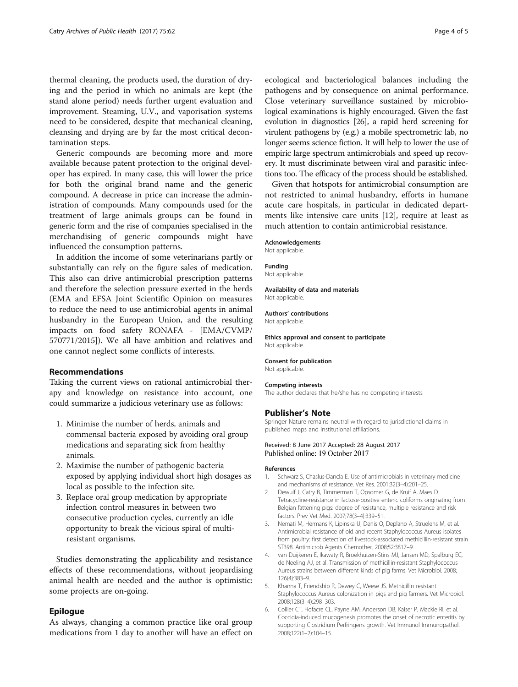<span id="page-3-0"></span>thermal cleaning, the products used, the duration of drying and the period in which no animals are kept (the stand alone period) needs further urgent evaluation and improvement. Steaming, U.V., and vaporisation systems need to be considered, despite that mechanical cleaning, cleansing and drying are by far the most critical decontamination steps.

Generic compounds are becoming more and more available because patent protection to the original developer has expired. In many case, this will lower the price for both the original brand name and the generic compound. A decrease in price can increase the administration of compounds. Many compounds used for the treatment of large animals groups can be found in generic form and the rise of companies specialised in the merchandising of generic compounds might have influenced the consumption patterns.

In addition the income of some veterinarians partly or substantially can rely on the figure sales of medication. This also can drive antimicrobial prescription patterns and therefore the selection pressure exerted in the herds (EMA and EFSA Joint Scientific Opinion on measures to reduce the need to use antimicrobial agents in animal husbandry in the European Union, and the resulting impacts on food safety RONAFA - [EMA/CVMP/ 570771/2015]). We all have ambition and relatives and one cannot neglect some conflicts of interests.

## Recommendations

Taking the current views on rational antimicrobial therapy and knowledge on resistance into account, one could summarize a judicious veterinary use as follows:

- 1. Minimise the number of herds, animals and commensal bacteria exposed by avoiding oral group medications and separating sick from healthy animals.
- 2. Maximise the number of pathogenic bacteria exposed by applying individual short high dosages as local as possible to the infection site.
- 3. Replace oral group medication by appropriate infection control measures in between two consecutive production cycles, currently an idle opportunity to break the vicious spiral of multiresistant organisms.

Studies demonstrating the applicability and resistance effects of these recommendations, without jeopardising animal health are needed and the author is optimistic: some projects are on-going.

## Epilogue

As always, changing a common practice like oral group medications from 1 day to another will have an effect on

ecological and bacteriological balances including the pathogens and by consequence on animal performance. Close veterinary surveillance sustained by microbiological examinations is highly encouraged. Given the fast evolution in diagnostics [[26](#page-4-0)], a rapid herd screening for virulent pathogens by (e.g.) a mobile spectrometric lab, no longer seems science fiction. It will help to lower the use of empiric large spectrum antimicrobials and speed up recovery. It must discriminate between viral and parasitic infections too. The efficacy of the process should be established.

Given that hotspots for antimicrobial consumption are not restricted to animal husbandry, efforts in humane acute care hospitals, in particular in dedicated departments like intensive care units [[12](#page-4-0)], require at least as much attention to contain antimicrobial resistance.

#### Acknowledgements

Not applicable.

# Funding

Not applicable.

Availability of data and materials Not applicable.

Authors' contributions Not applicable.

Ethics approval and consent to participate Not applicable.

Consent for publication Not applicable.

#### Competing interests

The author declares that he/she has no competing interests

#### Publisher's Note

Springer Nature remains neutral with regard to jurisdictional claims in published maps and institutional affiliations.

#### Received: 8 June 2017 Accepted: 28 August 2017 Published online: 19 October 2017

#### References

- 1. Schwarz S, Chaslus-Dancla E. Use of antimicrobials in veterinary medicine and mechanisms of resistance. Vet Res. 2001;32(3–4):201–25.
- 2. Dewulf J, Catry B, Timmerman T, Opsomer G, de Kruif A, Maes D. Tetracycline-resistance in lactose-positive enteric coliforms originating from Belgian fattening pigs: degree of resistance, multiple resistance and risk factors. Prev Vet Med. 2007;78(3–4):339–51.
- 3. Nemati M, Hermans K, Lipinska U, Denis O, Deplano A, Struelens M, et al. Antimicrobial resistance of old and recent Staphylococcus Aureus isolates from poultry: first detection of livestock-associated methicillin-resistant strain ST398. Antimicrob Agents Chemother. 2008;52:3817–9.
- 4. van Duijkeren E, Ikawaty R, Broekhuizen-Stins MJ, Jansen MD, Spalburg EC, de Neeling AJ, et al. Transmission of methicillin-resistant Staphylococcus Aureus strains between different kinds of pig farms. Vet Microbiol. 2008; 126(4):383–9.
- 5. Khanna T, Friendship R, Dewey C, Weese JS. Methicillin resistant Staphylococcus Aureus colonization in pigs and pig farmers. Vet Microbiol. 2008;128(3–4):298–303.
- 6. Collier CT, Hofacre CL, Payne AM, Anderson DB, Kaiser P, Mackie RI, et al. Coccidia-induced mucogenesis promotes the onset of necrotic enteritis by supporting Clostridium Perfringens growth. Vet Immunol Immunopathol. 2008;122(1–2):104–15.